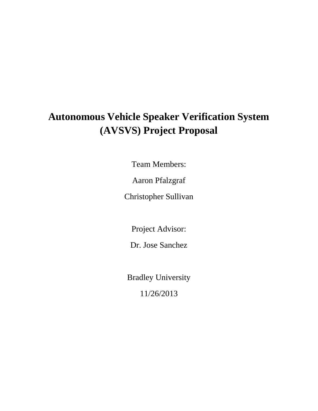# **Autonomous Vehicle Speaker Verification System (AVSVS) Project Proposal**

Team Members:

Aaron Pfalzgraf

Christopher Sullivan

Project Advisor:

Dr. Jose Sanchez

Bradley University

11/26/2013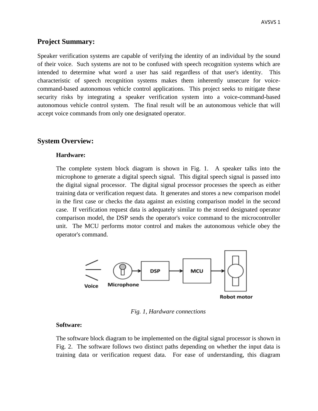#### **Project Summary:**

Speaker verification systems are capable of verifying the identity of an individual by the sound of their voice. Such systems are not to be confused with speech recognition systems which are intended to determine what word a user has said regardless of that user's identity. This characteristic of speech recognition systems makes them inherently unsecure for voicecommand-based autonomous vehicle control applications. This project seeks to mitigate these security risks by integrating a speaker verification system into a voice-command-based autonomous vehicle control system. The final result will be an autonomous vehicle that will accept voice commands from only one designated operator.

## **System Overview:**

#### **Hardware:**

The complete system block diagram is shown in Fig. 1. A speaker talks into the microphone to generate a digital speech signal. This digital speech signal is passed into the digital signal processor. The digital signal processor processes the speech as either training data or verification request data. It generates and stores a new comparison model in the first case or checks the data against an existing comparison model in the second case. If verification request data is adequately similar to the stored designated operator comparison model, the DSP sends the operator's voice command to the microcontroller unit. The MCU performs motor control and makes the autonomous vehicle obey the operator's command.



*Fig. 1, Hardware connections*

#### **Software:**

The software block diagram to be implemented on the digital signal processor is shown in Fig. 2. The software follows two distinct paths depending on whether the input data is training data or verification request data. For ease of understanding, this diagram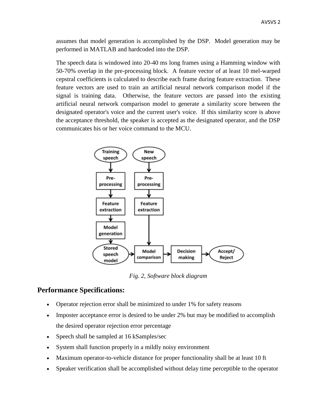assumes that model generation is accomplished by the DSP. Model generation may be performed in MATLAB and hardcoded into the DSP.

The speech data is windowed into 20-40 ms long frames using a Hamming window with 50-70% overlap in the pre-processing block. A feature vector of at least 10 mel-warped cepstral coefficients is calculated to describe each frame during feature extraction. These feature vectors are used to train an artificial neural network comparison model if the signal is training data. Otherwise, the feature vectors are passed into the existing artificial neural network comparison model to generate a similarity score between the designated operator's voice and the current user's voice. If this similarity score is above the acceptance threshold, the speaker is accepted as the designated operator, and the DSP communicates his or her voice command to the MCU.



*Fig. 2, Software block diagram*

## **Performance Specifications:**

- Operator rejection error shall be minimized to under 1% for safety reasons
- Imposter acceptance error is desired to be under 2% but may be modified to accomplish the desired operator rejection error percentage
- Speech shall be sampled at 16 kSamples/sec
- System shall function properly in a mildly noisy environment
- Maximum operator-to-vehicle distance for proper functionality shall be at least 10 ft
- Speaker verification shall be accomplished without delay time perceptible to the operator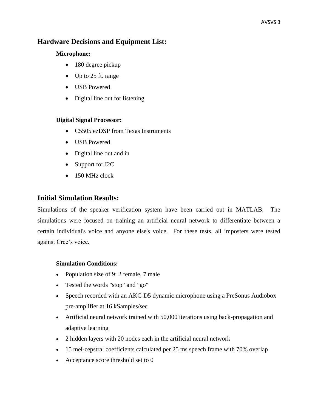# **Hardware Decisions and Equipment List:**

### **Microphone:**

- 180 degree pickup
- Up to 25 ft. range
- USB Powered
- Digital line out for listening

## **Digital Signal Processor:**

- C5505 ezDSP from Texas Instruments
- USB Powered
- Digital line out and in
- Support for I2C
- 150 MHz clock

# **Initial Simulation Results:**

Simulations of the speaker verification system have been carried out in MATLAB. The simulations were focused on training an artificial neural network to differentiate between a certain individual's voice and anyone else's voice. For these tests, all imposters were tested against Cree's voice.

## **Simulation Conditions:**

- Population size of 9: 2 female, 7 male
- Tested the words "stop" and "go"
- Speech recorded with an AKG D5 dynamic microphone using a PreSonus Audiobox pre-amplifier at 16 kSamples/sec
- Artificial neural network trained with 50,000 iterations using back-propagation and adaptive learning
- 2 hidden layers with 20 nodes each in the artificial neural network
- 15 mel-cepstral coefficients calculated per 25 ms speech frame with 70% overlap
- Acceptance score threshold set to 0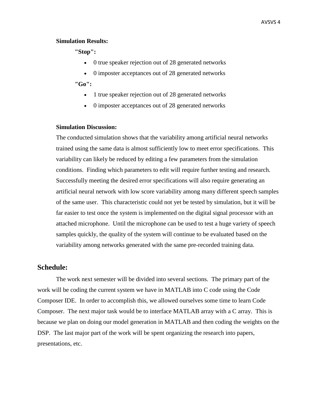#### **Simulation Results:**

**"Stop":**

- 0 true speaker rejection out of 28 generated networks
- 0 imposter acceptances out of 28 generated networks

**"Go":**

- 1 true speaker rejection out of 28 generated networks
- 0 imposter acceptances out of 28 generated networks

#### **Simulation Discussion:**

The conducted simulation shows that the variability among artificial neural networks trained using the same data is almost sufficiently low to meet error specifications. This variability can likely be reduced by editing a few parameters from the simulation conditions. Finding which parameters to edit will require further testing and research. Successfully meeting the desired error specifications will also require generating an artificial neural network with low score variability among many different speech samples of the same user. This characteristic could not yet be tested by simulation, but it will be far easier to test once the system is implemented on the digital signal processor with an attached microphone. Until the microphone can be used to test a huge variety of speech samples quickly, the quality of the system will continue to be evaluated based on the variability among networks generated with the same pre-recorded training data.

#### **Schedule:**

The work next semester will be divided into several sections. The primary part of the work will be coding the current system we have in MATLAB into C code using the Code Composer IDE. In order to accomplish this, we allowed ourselves some time to learn Code Composer. The next major task would be to interface MATLAB array with a C array. This is because we plan on doing our model generation in MATLAB and then coding the weights on the DSP. The last major part of the work will be spent organizing the research into papers, presentations, etc.